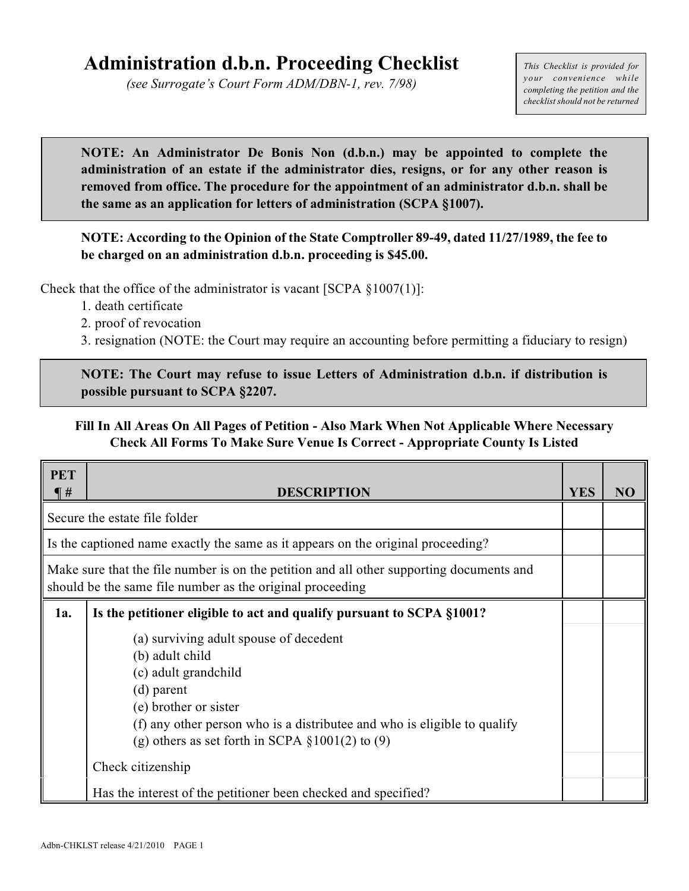## **Administration d.b.n. Proceeding Checklist**

*(see Surrogate's Court Form ADM/DBN-1, rev. 7/98)*

*This Checklist is provided for your convenience while completing the petition and the checklist should not be returned*

**NOTE: An Administrator De Bonis Non (d.b.n.) may be appointed to complete the administration of an estate if the administrator dies, resigns, or for any other reason is removed from office. The procedure for the appointment of an administrator d.b.n. shall be the same as an application for letters of administration (SCPA §1007).**

**NOTE: According to the Opinion of the State Comptroller 89-49, dated 11/27/1989, the fee to be charged on an administration d.b.n. proceeding is \$45.00.**

Check that the office of the administrator is vacant  $[SCPA \S 1007(1)]$ :

- 1. death certificate
- 2. proof of revocation
- 3. resignation (NOTE: the Court may require an accounting before permitting a fiduciary to resign)

**NOTE: The Court may refuse to issue Letters of Administration d.b.n. if distribution is possible pursuant to SCPA §2207.**

## **Fill In All Areas On All Pages of Petition - Also Mark When Not Applicable Where Necessary Check All Forms To Make Sure Venue Is Correct - Appropriate County Is Listed**

| <b>PET</b><br>$\P$ #                                                                                                                                  | <b>DESCRIPTION</b>                                                                  | <b>YES</b> | NO |
|-------------------------------------------------------------------------------------------------------------------------------------------------------|-------------------------------------------------------------------------------------|------------|----|
| Secure the estate file folder                                                                                                                         |                                                                                     |            |    |
|                                                                                                                                                       | If is the captioned name exactly the same as it appears on the original proceeding? |            |    |
| Make sure that the file number is on the petition and all other supporting documents and<br>should be the same file number as the original proceeding |                                                                                     |            |    |
| 1a.                                                                                                                                                   | Is the petitioner eligible to act and qualify pursuant to SCPA §1001?               |            |    |
|                                                                                                                                                       | (a) surviving adult spouse of decedent                                              |            |    |
|                                                                                                                                                       | (b) adult child<br>(c) adult grandchild                                             |            |    |
|                                                                                                                                                       | $(d)$ parent                                                                        |            |    |
|                                                                                                                                                       | (e) brother or sister                                                               |            |    |
|                                                                                                                                                       | (f) any other person who is a distributee and who is eligible to qualify            |            |    |
|                                                                                                                                                       | (g) others as set forth in SCPA $\S 1001(2)$ to (9)                                 |            |    |
|                                                                                                                                                       | Check citizenship                                                                   |            |    |
|                                                                                                                                                       | Has the interest of the petitioner been checked and specified?                      |            |    |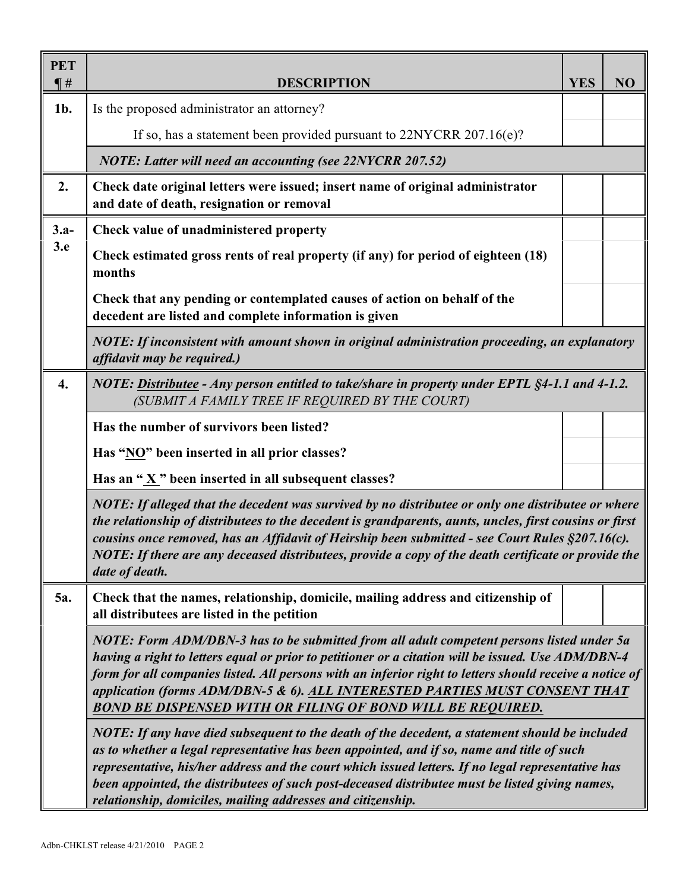| <b>PET</b><br>$\P$ # | <b>DESCRIPTION</b>                                                                                                                                                                                                                                                                                                                                                                                                                                                   | <b>YES</b> | NO |  |  |
|----------------------|----------------------------------------------------------------------------------------------------------------------------------------------------------------------------------------------------------------------------------------------------------------------------------------------------------------------------------------------------------------------------------------------------------------------------------------------------------------------|------------|----|--|--|
| 1b.                  | Is the proposed administrator an attorney?                                                                                                                                                                                                                                                                                                                                                                                                                           |            |    |  |  |
|                      | If so, has a statement been provided pursuant to $22NYCRR$ $207.16(e)$ ?                                                                                                                                                                                                                                                                                                                                                                                             |            |    |  |  |
|                      | <b>NOTE: Latter will need an accounting (see 22NYCRR 207.52)</b>                                                                                                                                                                                                                                                                                                                                                                                                     |            |    |  |  |
| 2.                   | Check date original letters were issued; insert name of original administrator<br>and date of death, resignation or removal                                                                                                                                                                                                                                                                                                                                          |            |    |  |  |
| $3.a-$               | Check value of unadministered property                                                                                                                                                                                                                                                                                                                                                                                                                               |            |    |  |  |
| 3.e                  | Check estimated gross rents of real property (if any) for period of eighteen (18)<br>months                                                                                                                                                                                                                                                                                                                                                                          |            |    |  |  |
|                      | Check that any pending or contemplated causes of action on behalf of the<br>decedent are listed and complete information is given                                                                                                                                                                                                                                                                                                                                    |            |    |  |  |
|                      | NOTE: If inconsistent with amount shown in original administration proceeding, an explanatory<br>affidavit may be required.)                                                                                                                                                                                                                                                                                                                                         |            |    |  |  |
| $\boldsymbol{4}$ .   | NOTE: Distributee - Any person entitled to take/share in property under EPTL §4-1.1 and 4-1.2.<br>(SUBMIT A FAMILY TREE IF REQUIRED BY THE COURT)                                                                                                                                                                                                                                                                                                                    |            |    |  |  |
|                      | Has the number of survivors been listed?                                                                                                                                                                                                                                                                                                                                                                                                                             |            |    |  |  |
|                      | Has "NO" been inserted in all prior classes?                                                                                                                                                                                                                                                                                                                                                                                                                         |            |    |  |  |
|                      | Has an "X" been inserted in all subsequent classes?                                                                                                                                                                                                                                                                                                                                                                                                                  |            |    |  |  |
|                      | NOTE: If alleged that the decedent was survived by no distributee or only one distributee or where<br>the relationship of distributees to the decedent is grandparents, aunts, uncles, first cousins or first<br>cousins once removed, has an Affidavit of Heirship been submitted - see Court Rules §207.16(c).<br>NOTE: If there are any deceased distributees, provide a copy of the death certificate or provide the $\parallel$<br>date of death.               |            |    |  |  |
| 5a.                  | Check that the names, relationship, domicile, mailing address and citizenship of<br>all distributees are listed in the petition                                                                                                                                                                                                                                                                                                                                      |            |    |  |  |
|                      | NOTE: Form ADM/DBN-3 has to be submitted from all adult competent persons listed under 5a<br>having a right to letters equal or prior to petitioner or a citation will be issued. Use ADM/DBN-4<br>form for all companies listed. All persons with an inferior right to letters should receive a notice of<br>application (forms ADM/DBN-5 & 6). ALL INTERESTED PARTIES MUST CONSENT THAT<br><b>BOND BE DISPENSED WITH OR FILING OF BOND WILL BE REQUIRED.</b>       |            |    |  |  |
|                      | NOTE: If any have died subsequent to the death of the decedent, a statement should be included<br>as to whether a legal representative has been appointed, and if so, name and title of such<br>representative, his/her address and the court which issued letters. If no legal representative has<br>been appointed, the distributees of such post-deceased distributee must be listed giving names,<br>relationship, domiciles, mailing addresses and citizenship. |            |    |  |  |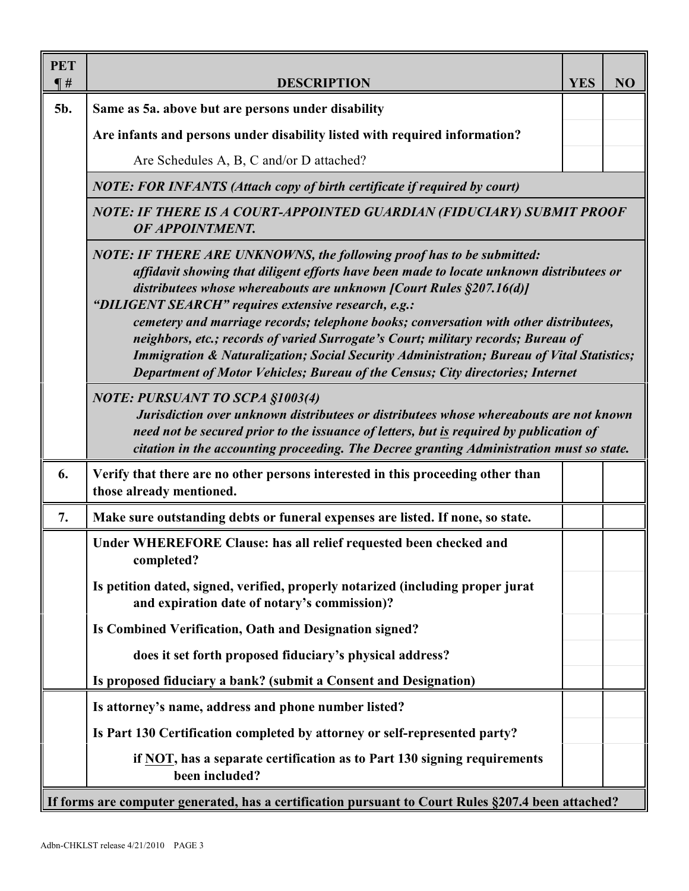| <b>PET</b><br>$\P$ # | <b>DESCRIPTION</b>                                                                                                                                                                                                                                                                                                                                                                                                                                               | <b>YES</b> | NO |  |  |  |
|----------------------|------------------------------------------------------------------------------------------------------------------------------------------------------------------------------------------------------------------------------------------------------------------------------------------------------------------------------------------------------------------------------------------------------------------------------------------------------------------|------------|----|--|--|--|
| 5b.                  | Same as 5a. above but are persons under disability                                                                                                                                                                                                                                                                                                                                                                                                               |            |    |  |  |  |
|                      | Are infants and persons under disability listed with required information?                                                                                                                                                                                                                                                                                                                                                                                       |            |    |  |  |  |
|                      | Are Schedules A, B, C and/or D attached?                                                                                                                                                                                                                                                                                                                                                                                                                         |            |    |  |  |  |
|                      | <b>NOTE: FOR INFANTS (Attach copy of birth certificate if required by court)</b>                                                                                                                                                                                                                                                                                                                                                                                 |            |    |  |  |  |
|                      | NOTE: IF THERE IS A COURT-APPOINTED GUARDIAN (FIDUCIARY) SUBMIT PROOF                                                                                                                                                                                                                                                                                                                                                                                            |            |    |  |  |  |
|                      | affidavit showing that diligent efforts have been made to locate unknown distributees or<br>cemetery and marriage records; telephone books; conversation with other distributees,<br>neighbors, etc.; records of varied Surrogate's Court; military records; Bureau of<br><b>Immigration &amp; Naturalization; Social Security Administration; Bureau of Vital Statistics;</b><br>Department of Motor Vehicles; Bureau of the Census; City directories; Internet |            |    |  |  |  |
|                      | <b>NOTE: PURSUANT TO SCPA §1003(4)</b><br>Jurisdiction over unknown distributees or distributees whose whereabouts are not known<br>need not be secured prior to the issuance of letters, but is required by publication of<br>citation in the accounting proceeding. The Decree granting Administration must so state.                                                                                                                                          |            |    |  |  |  |
| 6.                   | Verify that there are no other persons interested in this proceeding other than<br>those already mentioned.                                                                                                                                                                                                                                                                                                                                                      |            |    |  |  |  |
| 7.                   | Make sure outstanding debts or funeral expenses are listed. If none, so state.                                                                                                                                                                                                                                                                                                                                                                                   |            |    |  |  |  |
|                      | Under WHEREFORE Clause: has all relief requested been checked and<br>completed?                                                                                                                                                                                                                                                                                                                                                                                  |            |    |  |  |  |
|                      | Is petition dated, signed, verified, properly notarized (including proper jurat<br>and expiration date of notary's commission)?                                                                                                                                                                                                                                                                                                                                  |            |    |  |  |  |
|                      | Is Combined Verification, Oath and Designation signed?                                                                                                                                                                                                                                                                                                                                                                                                           |            |    |  |  |  |
|                      | does it set forth proposed fiduciary's physical address?                                                                                                                                                                                                                                                                                                                                                                                                         |            |    |  |  |  |
|                      | Is proposed fiduciary a bank? (submit a Consent and Designation)                                                                                                                                                                                                                                                                                                                                                                                                 |            |    |  |  |  |
|                      | Is attorney's name, address and phone number listed?                                                                                                                                                                                                                                                                                                                                                                                                             |            |    |  |  |  |
|                      | Is Part 130 Certification completed by attorney or self-represented party?                                                                                                                                                                                                                                                                                                                                                                                       |            |    |  |  |  |
|                      | if NOT, has a separate certification as to Part 130 signing requirements<br>been included?                                                                                                                                                                                                                                                                                                                                                                       |            |    |  |  |  |
|                      | If forms are computer generated, has a certification pursuant to Court Rules §207.4 been attached?                                                                                                                                                                                                                                                                                                                                                               |            |    |  |  |  |